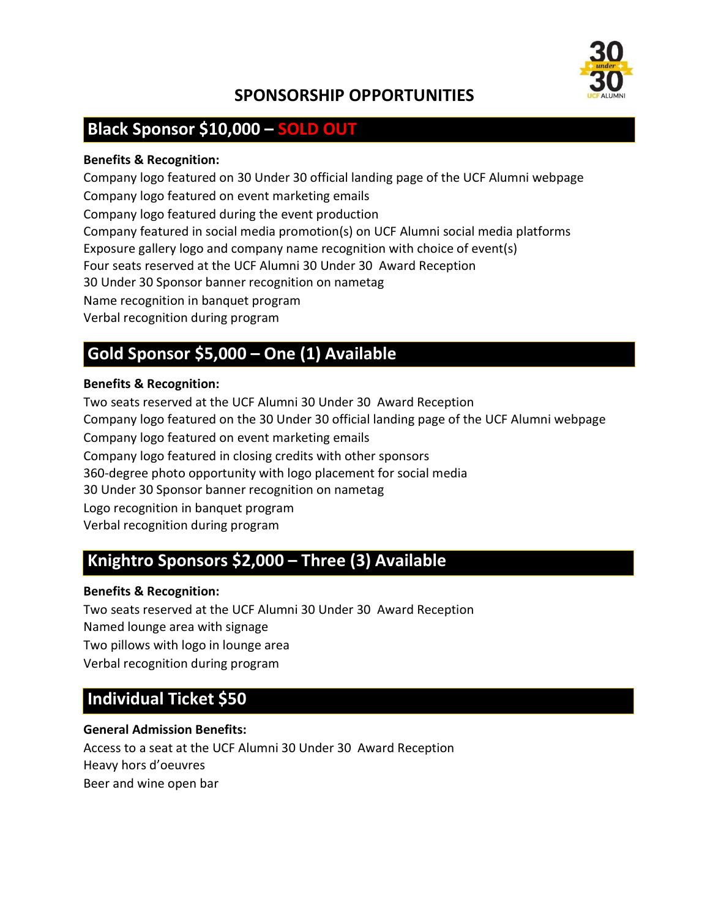

# SPONSORSHIP OPPORTUNITIES

# Black Sponsor \$10,000 – SOLD OUT

#### Benefits & Recognition:

Company logo featured on 30 Under 30 official landing page of the UCF Alumni webpage Company logo featured on event marketing emails Company logo featured during the event production Company featured in social media promotion(s) on UCF Alumni social media platforms Exposure gallery logo and company name recognition with choice of event(s) Four seats reserved at the UCF Alumni 30 Under 30 Award Reception 30 Under 30 Sponsor banner recognition on nametag Name recognition in banquet program Verbal recognition during program

# Gold Sponsor \$5,000 – One (1) Available

#### Benefits & Recognition:

Two seats reserved at the UCF Alumni 30 Under 30 Award Reception Company logo featured on the 30 Under 30 official landing page of the UCF Alumni webpage Company logo featured on event marketing emails Company logo featured in closing credits with other sponsors 360-degree photo opportunity with logo placement for social media 30 Under 30 Sponsor banner recognition on nametag Logo recognition in banquet program Verbal recognition during program

# Knightro Sponsors \$2,000 – Three (3) Available

#### Benefits & Recognition:

Two seats reserved at the UCF Alumni 30 Under 30 Award Reception Named lounge area with signage Two pillows with logo in lounge area Verbal recognition during program

# Individual Ticket \$50

#### General Admission Benefits:

Access to a seat at the UCF Alumni 30 Under 30 Award Reception Heavy hors d'oeuvres Beer and wine open bar